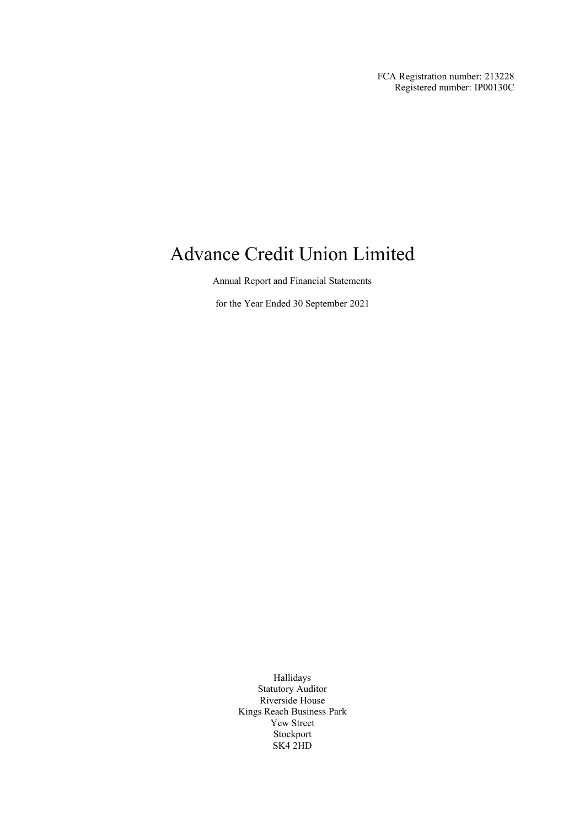FCA Registration number: 213228 Registered number: IP00130C

# Advance Credit Union Limited

Annual Report and Financial Statements

for the Year Ended 30 September 2021

Hallidays Statutory Auditor Riverside House Kings Reach Business Park Yew Street Stockport SK4 2HD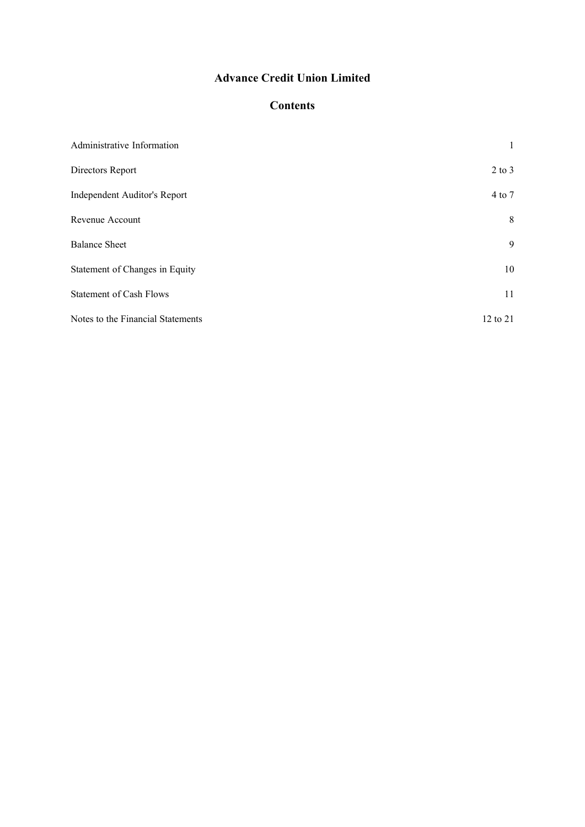## **Contents**

| Administrative Information        |                     |
|-----------------------------------|---------------------|
| Directors Report                  | $2$ to $3$          |
| Independent Auditor's Report      | $4$ to $7$          |
| Revenue Account                   | 8                   |
| <b>Balance Sheet</b>              | 9                   |
| Statement of Changes in Equity    | 10                  |
| <b>Statement of Cash Flows</b>    | 11                  |
| Notes to the Financial Statements | $12 \text{ to } 21$ |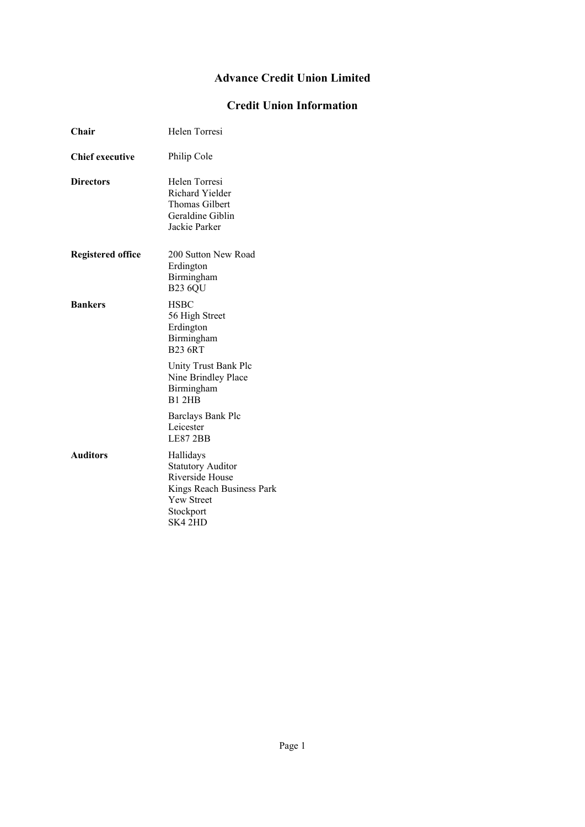## **Credit Union Information**

<span id="page-2-0"></span>

| Chair                    | Helen Torresi                                                                                                                      |
|--------------------------|------------------------------------------------------------------------------------------------------------------------------------|
| <b>Chief executive</b>   | Philip Cole                                                                                                                        |
| <b>Directors</b>         | Helen Torresi<br><b>Richard Yielder</b><br>Thomas Gilbert<br>Geraldine Giblin<br>Jackie Parker                                     |
| <b>Registered office</b> | 200 Sutton New Road<br>Erdington<br>Birmingham<br><b>B23 6QU</b>                                                                   |
| <b>Bankers</b>           | <b>HSBC</b><br>56 High Street<br>Erdington<br>Birmingham<br><b>B23 6RT</b>                                                         |
|                          | Unity Trust Bank Plc<br>Nine Brindley Place<br>Birmingham<br><b>B12HB</b>                                                          |
|                          | Barclays Bank Plc<br>Leicester<br><b>LE87 2BB</b>                                                                                  |
| <b>Auditors</b>          | Hallidays<br><b>Statutory Auditor</b><br>Riverside House<br>Kings Reach Business Park<br><b>Yew Street</b><br>Stockport<br>SK4 2HD |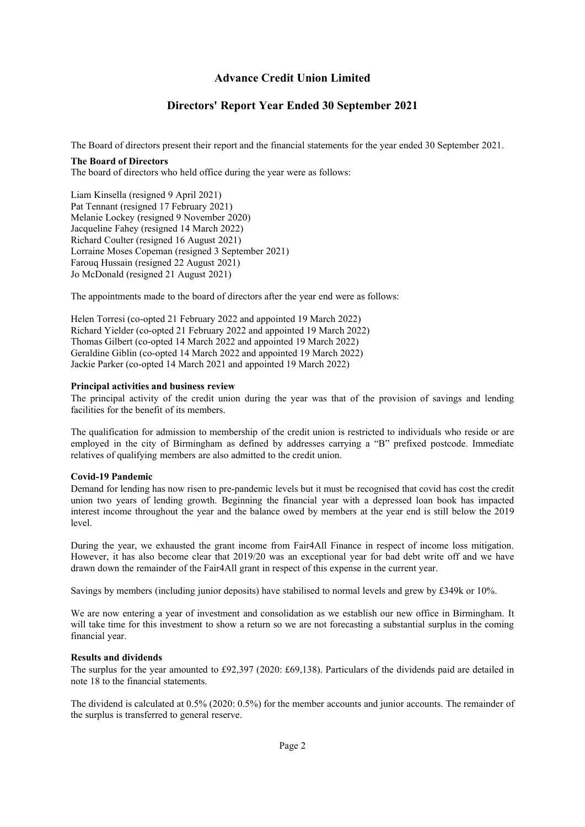### **Directors' Report Year Ended 30 September 2021**

<span id="page-3-0"></span>The Board of directors present their report and the financial statements for the year ended 30 September 2021.

#### **The Board of Directors**

The board of directors who held office during the year were as follows:

Liam Kinsella (resigned 9 April 2021) Pat Tennant (resigned 17 February 2021) Melanie Lockey (resigned 9 November 2020) Jacqueline Fahey (resigned 14 March 2022) Richard Coulter (resigned 16 August 2021) Lorraine Moses Copeman (resigned 3 September 2021) Farouq Hussain (resigned 22 August 2021) Jo McDonald (resigned 21 August 2021)

The appointments made to the board of directors after the year end were as follows:

Helen Torresi (co-opted 21 February 2022 and appointed 19 March 2022) Richard Yielder (co-opted 21 February 2022 and appointed 19 March 2022) Thomas Gilbert (co-opted 14 March 2022 and appointed 19 March 2022) Geraldine Giblin (co-opted 14 March 2022 and appointed 19 March 2022) Jackie Parker (co-opted 14 March 2021 and appointed 19 March 2022)

#### **Principal activities and business review**

The principal activity of the credit union during the year was that of the provision of savings and lending facilities for the benefit of its members.

The qualification for admission to membership of the credit union is restricted to individuals who reside or are employed in the city of Birmingham as defined by addresses carrying a "B" prefixed postcode. Immediate relatives of qualifying members are also admitted to the credit union.

#### **Covid-19 Pandemic**

Demand for lending has now risen to pre-pandemic levels but it must be recognised that covid has cost the credit union two years of lending growth. Beginning the financial year with a depressed loan book has impacted interest income throughout the year and the balance owed by members at the year end is still below the 2019 level.

During the year, we exhausted the grant income from Fair4All Finance in respect of income loss mitigation. However, it has also become clear that 2019/20 was an exceptional year for bad debt write off and we have drawn down the remainder of the Fair4All grant in respect of this expense in the current year.

Savings by members (including junior deposits) have stabilised to normal levels and grew by £349k or 10%.

We are now entering a year of investment and consolidation as we establish our new office in Birmingham. It will take time for this investment to show a return so we are not forecasting a substantial surplus in the coming financial year.

#### **Results and dividends**

The surplus for the year amounted to £92,397 (2020: £69,138). Particulars of the dividends paid are detailed in note 18 to the financial statements.

The dividend is calculated at 0.5% (2020: 0.5%) for the member accounts and junior accounts. The remainder of the surplus is transferred to general reserve.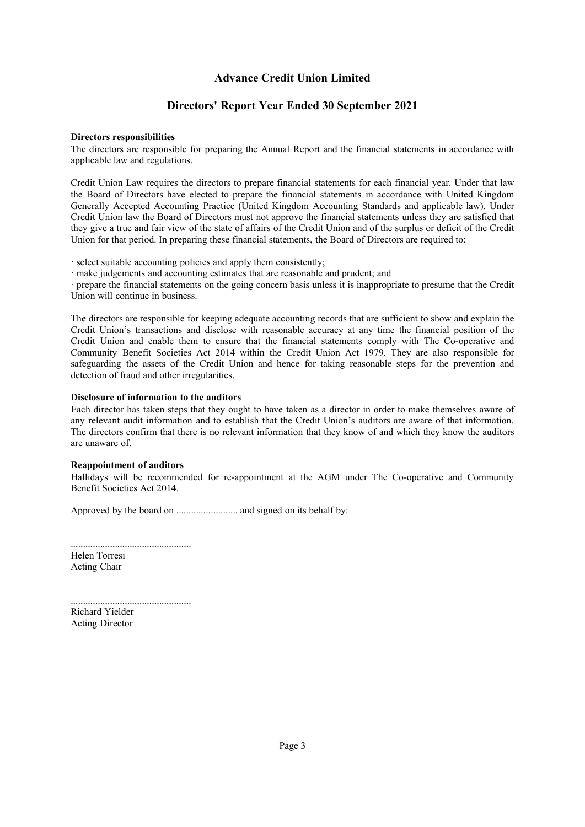## **Directors' Report Year Ended 30 September 2021**

#### **Directors responsibilities**

The directors are responsible for preparing the Annual Report and the financial statements in accordance with applicable law and regulations.

Credit Union Law requires the directors to prepare financial statements for each financial year. Under that law the Board of Directors have elected to prepare the financial statements in accordance with United Kingdom Generally Accepted Accounting Practice (United Kingdom Accounting Standards and applicable law). Under Credit Union law the Board of Directors must not approve the financial statements unless they are satisfied that they give a true and fair view of the state of affairs of the Credit Union and of the surplus or deficit of the Credit Union for that period. In preparing these financial statements, the Board of Directors are required to:

· select suitable accounting policies and apply them consistently;

· make judgements and accounting estimates that are reasonable and prudent; and

· prepare the financial statements on the going concern basis unless it is inappropriate to presume that the Credit Union will continue in business.

The directors are responsible for keeping adequate accounting records that are sufficient to show and explain the Credit Union's transactions and disclose with reasonable accuracy at any time the financial position of the Credit Union and enable them to ensure that the financial statements comply with The Co-operative and Community Benefit Societies Act 2014 within the Credit Union Act 1979. They are also responsible for safeguarding the assets of the Credit Union and hence for taking reasonable steps for the prevention and detection of fraud and other irregularities.

#### **Disclosure of information to the auditors**

Each director has taken steps that they ought to have taken as a director in order to make themselves aware of any relevant audit information and to establish that the Credit Union's auditors are aware of that information. The directors confirm that there is no relevant information that they know of and which they know the auditors are unaware of.

#### **Reappointment of auditors**

.................................................

Hallidays will be recommended for re-appointment at the AGM under The Co-operative and Community Benefit Societies Act 2014.

Approved by the board on ......................... and signed on its behalf by:

Helen Torresi Acting Chair

................................................. Richard Yielder Acting Director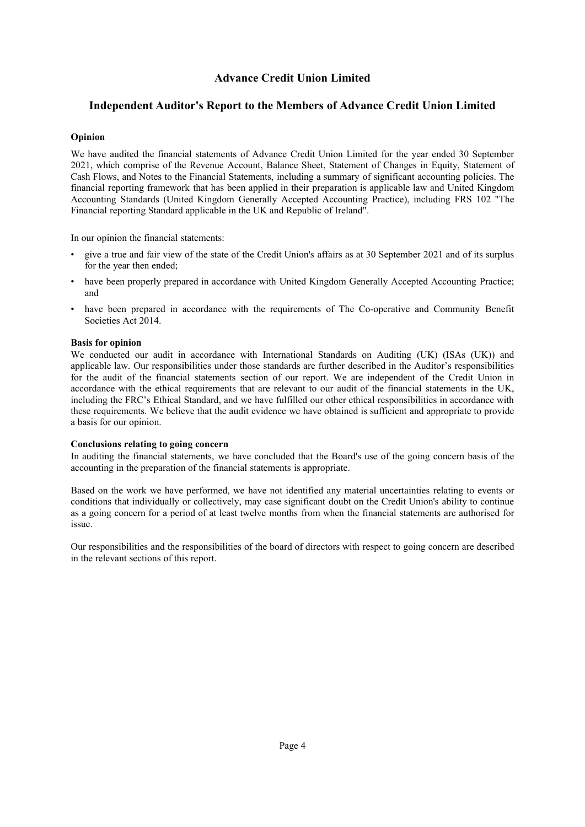### **Independent Auditor's Report to the Members of Advance Credit Union Limited**

#### <span id="page-5-0"></span>**Opinion**

We have audited the financial statements of Advance Credit Union Limited for the year ended 30 September 2021, which comprise of the Revenue Account, Balance Sheet, Statement of Changes in Equity, Statement of Cash Flows, and Notes to the Financial Statements, including a summary of significant accounting policies. The financial reporting framework that has been applied in their preparation is applicable law and United Kingdom Accounting Standards (United Kingdom Generally Accepted Accounting Practice), including FRS 102 "The Financial reporting Standard applicable in the UK and Republic of Ireland".

In our opinion the financial statements:

- give a true and fair view of the state of the Credit Union's affairs as at 30 September 2021 and of its surplus for the year then ended;
- have been properly prepared in accordance with United Kingdom Generally Accepted Accounting Practice; and
- have been prepared in accordance with the requirements of The Co-operative and Community Benefit Societies Act 2014.

#### **Basis for opinion**

We conducted our audit in accordance with International Standards on Auditing (UK) (ISAs (UK)) and applicable law. Our responsibilities under those standards are further described in the Auditor's responsibilities for the audit of the financial statements section of our report. We are independent of the Credit Union in accordance with the ethical requirements that are relevant to our audit of the financial statements in the UK, including the FRC's Ethical Standard, and we have fulfilled our other ethical responsibilities in accordance with these requirements. We believe that the audit evidence we have obtained is sufficient and appropriate to provide a basis for our opinion.

#### **Conclusions relating to going concern**

In auditing the financial statements, we have concluded that the Board's use of the going concern basis of the accounting in the preparation of the financial statements is appropriate.

Based on the work we have performed, we have not identified any material uncertainties relating to events or conditions that individually or collectively, may case significant doubt on the Credit Union's ability to continue as a going concern for a period of at least twelve months from when the financial statements are authorised for issue.

Our responsibilities and the responsibilities of the board of directors with respect to going concern are described in the relevant sections of this report.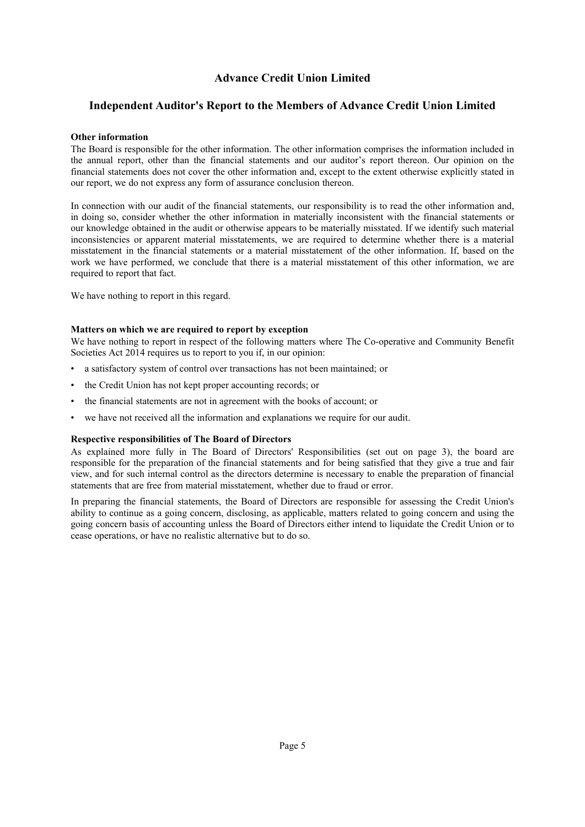### **Independent Auditor's Report to the Members of Advance Credit Union Limited**

#### **Other information**

The Board is responsible for the other information. The other information comprises the information included in the annual report, other than the financial statements and our auditor's report thereon. Our opinion on the financial statements does not cover the other information and, except to the extent otherwise explicitly stated in our report, we do not express any form of assurance conclusion thereon.

In connection with our audit of the financial statements, our responsibility is to read the other information and, in doing so, consider whether the other information in materially inconsistent with the financial statements or our knowledge obtained in the audit or otherwise appears to be materially misstated. If we identify such material inconsistencies or apparent material misstatements, we are required to determine whether there is a material misstatement in the financial statements or a material misstatement of the other information. If, based on the work we have performed, we conclude that there is a material misstatement of this other information, we are required to report that fact.

We have nothing to report in this regard.

#### **Matters on which we are required to report by exception**

We have nothing to report in respect of the following matters where The Co-operative and Community Benefit Societies Act 2014 requires us to report to you if, in our opinion:

- a satisfactory system of control over transactions has not been maintained; or
- the Credit Union has not kept proper accounting records; or
- the financial statements are not in agreement with the books of account; or
- we have not received all the information and explanations we require for our audit.

#### **Respective responsibilities of The Board of Directors**

As explained more fully in The Board of Directors' Responsibilities (set out on page 3), the board are responsible for the preparation of the financial statements and for being satisfied that they give a true and fair view, and for such internal control as the directors determine is necessary to enable the preparation of financial statements that are free from material misstatement, whether due to fraud or error.

In preparing the financial statements, the Board of Directors are responsible for assessing the Credit Union's ability to continue as a going concern, disclosing, as applicable, matters related to going concern and using the going concern basis of accounting unless the Board of Directors either intend to liquidate the Credit Union or to cease operations, or have no realistic alternative but to do so.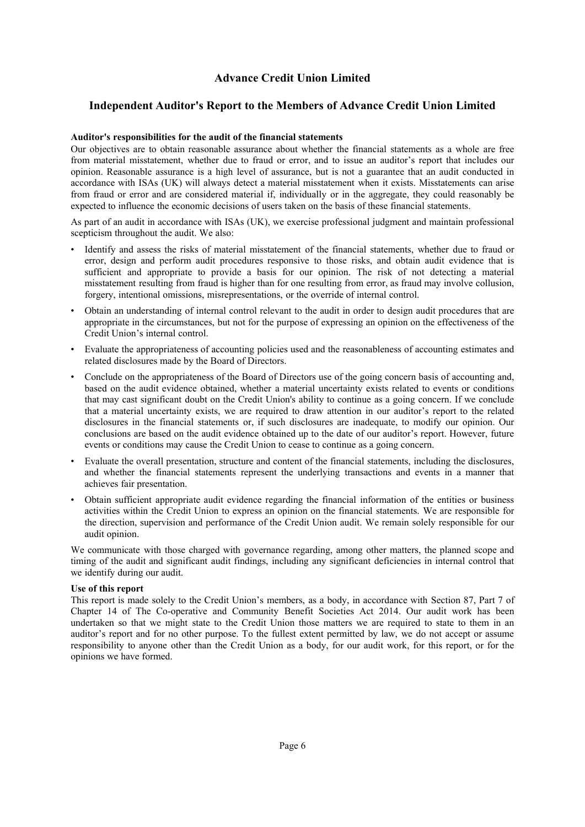### **Independent Auditor's Report to the Members of Advance Credit Union Limited**

#### **Auditor's responsibilities for the audit of the financial statements**

Our objectives are to obtain reasonable assurance about whether the financial statements as a whole are free from material misstatement, whether due to fraud or error, and to issue an auditor's report that includes our opinion. Reasonable assurance is a high level of assurance, but is not a guarantee that an audit conducted in accordance with ISAs (UK) will always detect a material misstatement when it exists. Misstatements can arise from fraud or error and are considered material if, individually or in the aggregate, they could reasonably be expected to influence the economic decisions of users taken on the basis of these financial statements.

As part of an audit in accordance with ISAs (UK), we exercise professional judgment and maintain professional scepticism throughout the audit. We also:

- Identify and assess the risks of material misstatement of the financial statements, whether due to fraud or error, design and perform audit procedures responsive to those risks, and obtain audit evidence that is sufficient and appropriate to provide a basis for our opinion. The risk of not detecting a material misstatement resulting from fraud is higher than for one resulting from error, as fraud may involve collusion, forgery, intentional omissions, misrepresentations, or the override of internal control.
- Obtain an understanding of internal control relevant to the audit in order to design audit procedures that are appropriate in the circumstances, but not for the purpose of expressing an opinion on the effectiveness of the Credit Union's internal control.
- Evaluate the appropriateness of accounting policies used and the reasonableness of accounting estimates and related disclosures made by the Board of Directors.
- Conclude on the appropriateness of the Board of Directors use of the going concern basis of accounting and, based on the audit evidence obtained, whether a material uncertainty exists related to events or conditions that may cast significant doubt on the Credit Union's ability to continue as a going concern. If we conclude that a material uncertainty exists, we are required to draw attention in our auditor's report to the related disclosures in the financial statements or, if such disclosures are inadequate, to modify our opinion. Our conclusions are based on the audit evidence obtained up to the date of our auditor's report. However, future events or conditions may cause the Credit Union to cease to continue as a going concern.
- Evaluate the overall presentation, structure and content of the financial statements, including the disclosures, and whether the financial statements represent the underlying transactions and events in a manner that achieves fair presentation.
- Obtain sufficient appropriate audit evidence regarding the financial information of the entities or business activities within the Credit Union to express an opinion on the financial statements. We are responsible for the direction, supervision and performance of the Credit Union audit. We remain solely responsible for our audit opinion.

We communicate with those charged with governance regarding, among other matters, the planned scope and timing of the audit and significant audit findings, including any significant deficiencies in internal control that we identify during our audit.

#### **Use of this report**

This report is made solely to the Credit Union's members, as a body, in accordance with Section 87, Part 7 of Chapter 14 of The Co-operative and Community Benefit Societies Act 2014. Our audit work has been undertaken so that we might state to the Credit Union those matters we are required to state to them in an auditor's report and for no other purpose. To the fullest extent permitted by law, we do not accept or assume responsibility to anyone other than the Credit Union as a body, for our audit work, for this report, or for the opinions we have formed.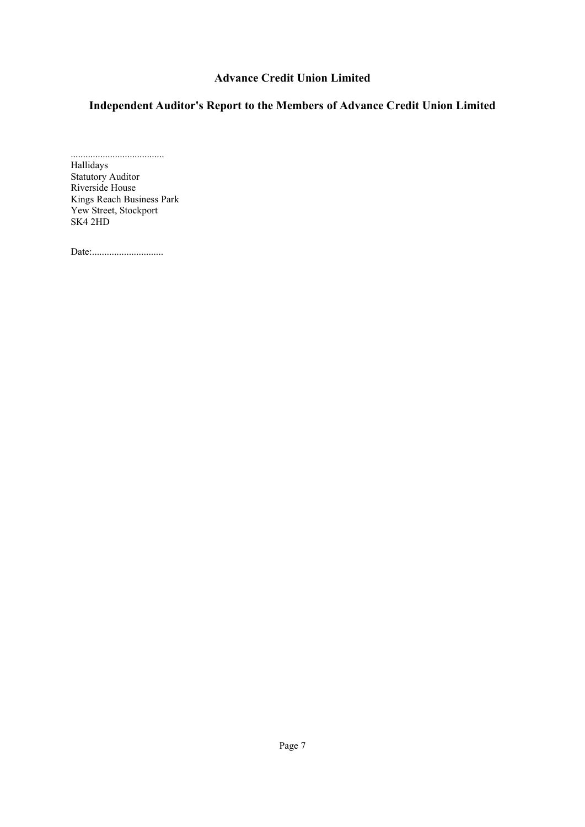## **Independent Auditor's Report to the Members of Advance Credit Union Limited**

...................................... Hallidays Statutory Auditor Riverside House Kings Reach Business Park Yew Street, Stockport SK4 2HD

Date:.............................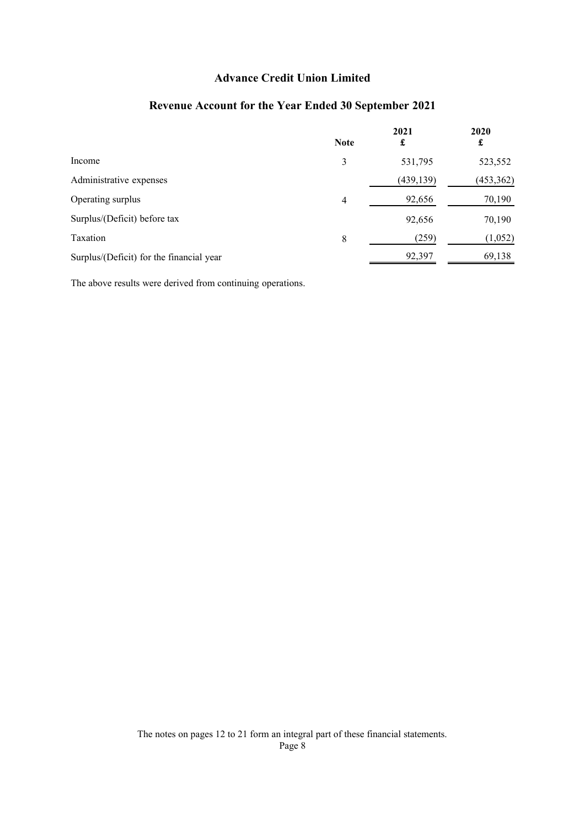## **Revenue Account for the Year Ended 30 September 2021**

<span id="page-9-0"></span>

|                                          | <b>Note</b> | 2021<br>£  | 2020<br>£  |
|------------------------------------------|-------------|------------|------------|
| Income                                   | 3           | 531,795    | 523,552    |
| Administrative expenses                  |             | (439, 139) | (453, 362) |
| Operating surplus                        | 4           | 92,656     | 70,190     |
| Surplus/(Deficit) before tax             |             | 92,656     | 70,190     |
| Taxation                                 | 8           | (259)      | (1,052)    |
| Surplus/(Deficit) for the financial year |             | 92,397     | 69,138     |

The above results were derived from continuing operations.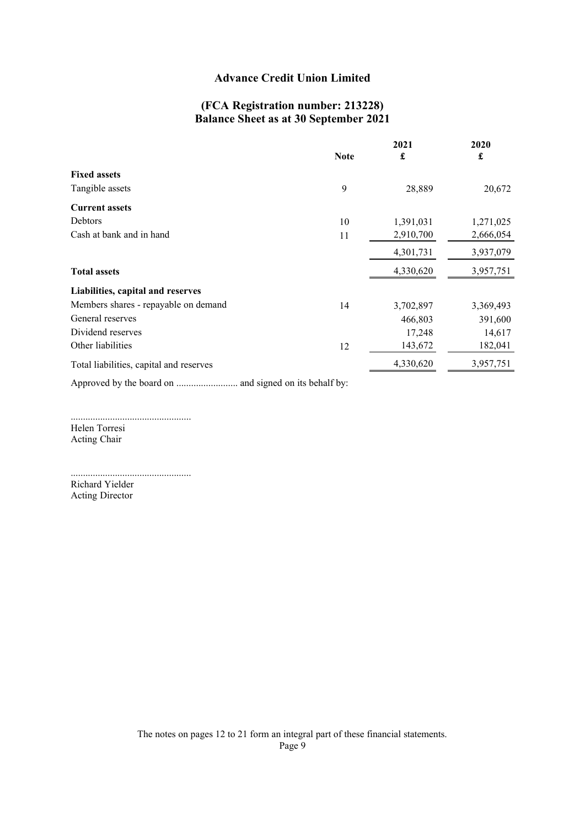## **(FCA Registration number: 213228) Balance Sheet as at 30 September 2021**

<span id="page-10-0"></span>

|                                         | <b>Note</b> | 2021<br>£ | 2020<br>£ |
|-----------------------------------------|-------------|-----------|-----------|
| <b>Fixed assets</b>                     |             |           |           |
| Tangible assets                         | 9           | 28,889    | 20,672    |
| <b>Current assets</b>                   |             |           |           |
| Debtors                                 | 10          | 1,391,031 | 1,271,025 |
| Cash at bank and in hand                | 11          | 2,910,700 | 2,666,054 |
|                                         |             | 4,301,731 | 3,937,079 |
| <b>Total assets</b>                     |             | 4,330,620 | 3,957,751 |
| Liabilities, capital and reserves       |             |           |           |
| Members shares - repayable on demand    | 14          | 3,702,897 | 3,369,493 |
| General reserves                        |             | 466,803   | 391,600   |
| Dividend reserves                       |             | 17,248    | 14,617    |
| Other liabilities                       | 12          | 143,672   | 182,041   |
| Total liabilities, capital and reserves |             | 4,330,620 | 3,957,751 |

Approved by the board on ......................... and signed on its behalf by:

................................................. Helen Torresi Acting Chair

................................................. Richard Yielder Acting Director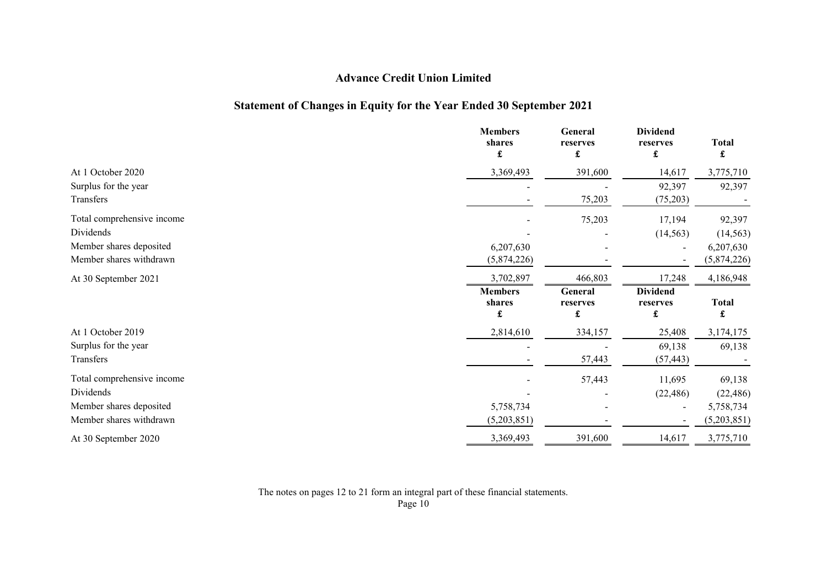## **Statement of Changes in Equity for the Year Ended 30 September 2021**

<span id="page-11-0"></span>

|                            | <b>Members</b><br>shares<br>£ | General<br>reserves<br>£ | <b>Dividend</b><br>reserves<br>£ | <b>Total</b><br>£ |
|----------------------------|-------------------------------|--------------------------|----------------------------------|-------------------|
| At 1 October 2020          | 3,369,493                     | 391,600                  | 14,617                           | 3,775,710         |
| Surplus for the year       |                               |                          | 92,397                           | 92,397            |
| Transfers                  |                               | 75,203                   | (75,203)                         |                   |
| Total comprehensive income |                               | 75,203                   | 17,194                           | 92,397            |
| Dividends                  |                               |                          | (14, 563)                        | (14, 563)         |
| Member shares deposited    | 6,207,630                     |                          |                                  | 6,207,630         |
| Member shares withdrawn    | (5,874,226)                   |                          |                                  | (5,874,226)       |
| At 30 September 2021       | 3,702,897                     | 466,803                  | 17,248                           | 4,186,948         |
|                            | <b>Members</b><br>shares<br>£ | General<br>reserves<br>£ | <b>Dividend</b><br>reserves<br>£ | <b>Total</b><br>£ |
| At 1 October 2019          | 2,814,610                     | 334,157                  | 25,408                           | 3,174,175         |
| Surplus for the year       |                               |                          | 69,138                           | 69,138            |
| Transfers                  |                               | 57,443                   | (57, 443)                        |                   |
| Total comprehensive income |                               | 57,443                   | 11,695                           | 69,138            |
| Dividends                  |                               |                          | (22, 486)                        | (22, 486)         |
| Member shares deposited    | 5,758,734                     |                          |                                  | 5,758,734         |
| Member shares withdrawn    | (5,203,851)                   |                          |                                  | (5,203,851)       |
| At 30 September 2020       | 3,369,493                     | 391,600                  | 14,617                           | 3,775,710         |

The notes on pages [12](#page-13-1) to [21](#page-13-1) form an integral part of these financial statements. Page 10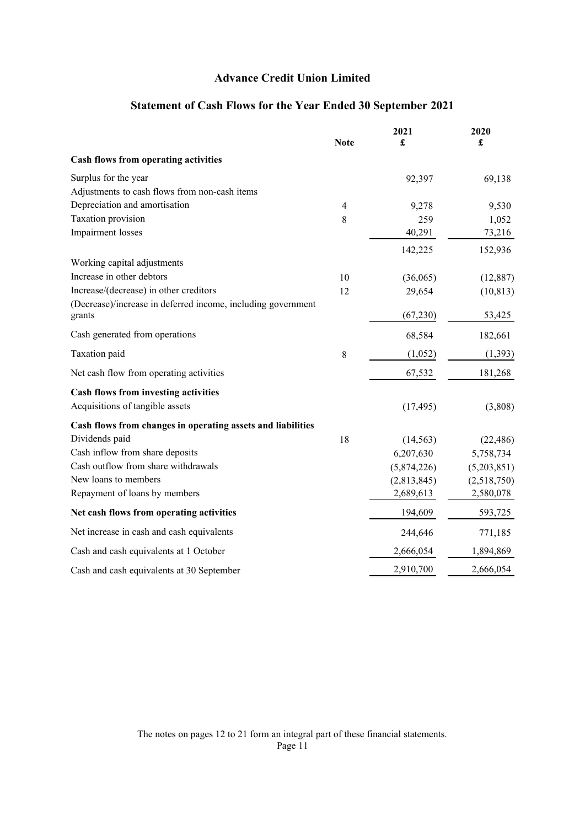## **Statement of Cash Flows for the Year Ended 30 September 2021**

<span id="page-12-0"></span>

|                                                              |             | 2021        | 2020        |
|--------------------------------------------------------------|-------------|-------------|-------------|
|                                                              | <b>Note</b> | £           | £           |
| Cash flows from operating activities                         |             |             |             |
| Surplus for the year                                         |             | 92,397      | 69,138      |
| Adjustments to cash flows from non-cash items                |             |             |             |
| Depreciation and amortisation                                | 4           | 9,278       | 9,530       |
| Taxation provision                                           | 8           | 259         | 1,052       |
| <b>Impairment</b> losses                                     |             | 40,291      | 73,216      |
|                                                              |             | 142,225     | 152,936     |
| Working capital adjustments                                  |             |             |             |
| Increase in other debtors                                    | 10          | (36,065)    | (12, 887)   |
| Increase/(decrease) in other creditors                       | 12          | 29,654      | (10, 813)   |
| (Decrease)/increase in deferred income, including government |             |             |             |
| grants                                                       |             | (67,230)    | 53,425      |
| Cash generated from operations                               |             | 68,584      | 182,661     |
| Taxation paid                                                | 8           | (1,052)     | (1, 393)    |
| Net cash flow from operating activities                      |             | 67,532      | 181,268     |
| <b>Cash flows from investing activities</b>                  |             |             |             |
| Acquisitions of tangible assets                              |             | (17, 495)   | (3,808)     |
| Cash flows from changes in operating assets and liabilities  |             |             |             |
| Dividends paid                                               | 18          | (14, 563)   | (22, 486)   |
| Cash inflow from share deposits                              |             | 6,207,630   | 5,758,734   |
| Cash outflow from share withdrawals                          |             | (5,874,226) | (5,203,851) |
| New loans to members                                         |             | (2,813,845) | (2,518,750) |
| Repayment of loans by members                                |             | 2,689,613   | 2,580,078   |
| Net cash flows from operating activities                     |             | 194,609     | 593,725     |
| Net increase in cash and cash equivalents                    |             | 244,646     | 771,185     |
| Cash and cash equivalents at 1 October                       |             | 2,666,054   | 1,894,869   |
| Cash and cash equivalents at 30 September                    |             | 2,910,700   | 2,666,054   |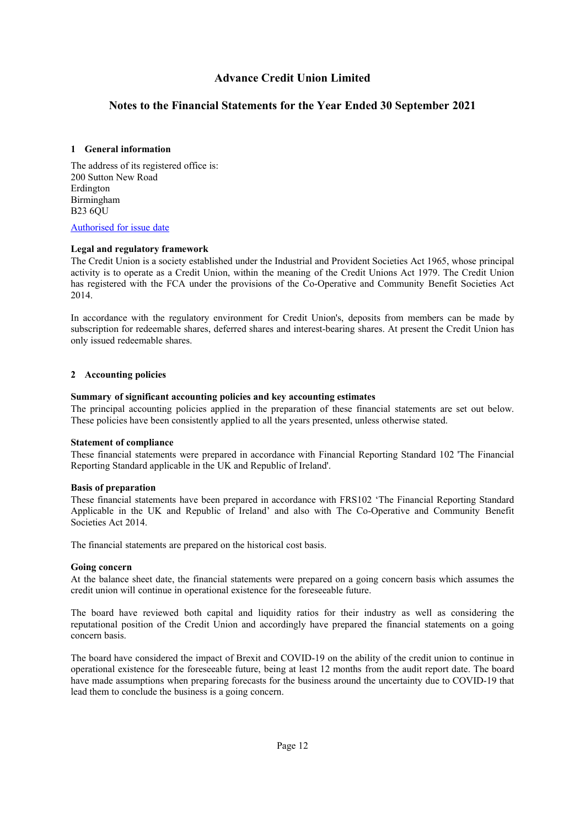### <span id="page-13-1"></span>**Notes to the Financial Statements for the Year Ended 30 September 2021**

#### <span id="page-13-0"></span>**[1](#page-13-0) General information**

The address of its registered office is: 200 Sutton New Road Erdington Birmingham **B23 6QU** 

#### Authorised for issue date

#### **Legal and regulatory framework**

The Credit Union is a society established under the Industrial and Provident Societies Act 1965, whose principal activity is to operate as a Credit Union, within the meaning of the Credit Unions Act 1979. The Credit Union has registered with the FCA under the provisions of the Co-Operative and Community Benefit Societies Act 2014.

<span id="page-13-2"></span>In accordance with the regulatory environment for Credit Union's, deposits from members can be made by subscription for redeemable shares, deferred shares and interest-bearing shares. At present the Credit Union has only issued redeemable shares.

#### **[2](#page-13-2) Accounting policies**

#### **Summary of significant accounting policies and key accounting estimates**

The principal accounting policies applied in the preparation of these financial statements are set out below. These policies have been consistently applied to all the years presented, unless otherwise stated.

#### **Statement of compliance**

These financial statements were prepared in accordance with Financial Reporting Standard 102 'The Financial Reporting Standard applicable in the UK and Republic of Ireland'.

#### **Basis of preparation**

These financial statements have been prepared in accordance with FRS102 'The Financial Reporting Standard Applicable in the UK and Republic of Ireland' and also with The Co-Operative and Community Benefit Societies Act 2014.

The financial statements are prepared on the historical cost basis.

#### **Going concern**

At the balance sheet date, the financial statements were prepared on a going concern basis which assumes the credit union will continue in operational existence for the foreseeable future.

The board have reviewed both capital and liquidity ratios for their industry as well as considering the reputational position of the Credit Union and accordingly have prepared the financial statements on a going concern basis.

The board have considered the impact of Brexit and COVID-19 on the ability of the credit union to continue in operational existence for the foreseeable future, being at least 12 months from the audit report date. The board have made assumptions when preparing forecasts for the business around the uncertainty due to COVID-19 that lead them to conclude the business is a going concern.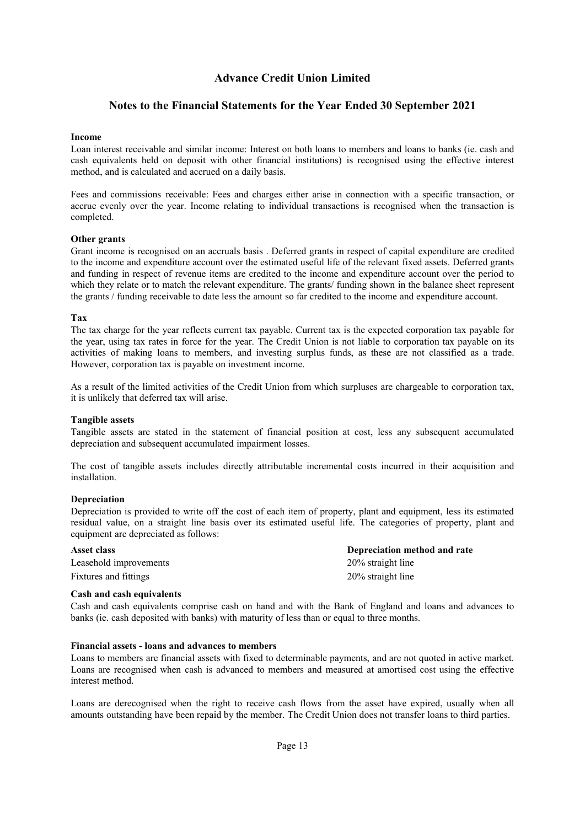### **Notes to the Financial Statements for the Year Ended 30 September 2021**

#### **Income**

Loan interest receivable and similar income: Interest on both loans to members and loans to banks (ie. cash and cash equivalents held on deposit with other financial institutions) is recognised using the effective interest method, and is calculated and accrued on a daily basis.

Fees and commissions receivable: Fees and charges either arise in connection with a specific transaction, or accrue evenly over the year. Income relating to individual transactions is recognised when the transaction is completed.

#### **Other grants**

Grant income is recognised on an accruals basis . Deferred grants in respect of capital expenditure are credited to the income and expenditure account over the estimated useful life of the relevant fixed assets. Deferred grants and funding in respect of revenue items are credited to the income and expenditure account over the period to which they relate or to match the relevant expenditure. The grants/ funding shown in the balance sheet represent the grants / funding receivable to date less the amount so far credited to the income and expenditure account.

#### **Tax**

The tax charge for the year reflects current tax payable. Current tax is the expected corporation tax payable for the year, using tax rates in force for the year. The Credit Union is not liable to corporation tax payable on its activities of making loans to members, and investing surplus funds, as these are not classified as a trade. However, corporation tax is payable on investment income.

As a result of the limited activities of the Credit Union from which surpluses are chargeable to corporation tax, it is unlikely that deferred tax will arise.

#### **Tangible assets**

Tangible assets are stated in the statement of financial position at cost, less any subsequent accumulated depreciation and subsequent accumulated impairment losses.

The cost of tangible assets includes directly attributable incremental costs incurred in their acquisition and installation.

#### **Depreciation**

Depreciation is provided to write off the cost of each item of property, plant and equipment, less its estimated residual value, on a straight line basis over its estimated useful life. The categories of property, plant and equipment are depreciated as follows:

**Asset class Depreciation method and rate** Leasehold improvements 20% straight line Fixtures and fittings 20% straight line

#### **Cash and cash equivalents**

Cash and cash equivalents comprise cash on hand and with the Bank of England and loans and advances to banks (ie. cash deposited with banks) with maturity of less than or equal to three months.

#### **Financial assets - loans and advances to members**

Loans to members are financial assets with fixed to determinable payments, and are not quoted in active market. Loans are recognised when cash is advanced to members and measured at amortised cost using the effective interest method.

Loans are derecognised when the right to receive cash flows from the asset have expired, usually when all amounts outstanding have been repaid by the member. The Credit Union does not transfer loans to third parties.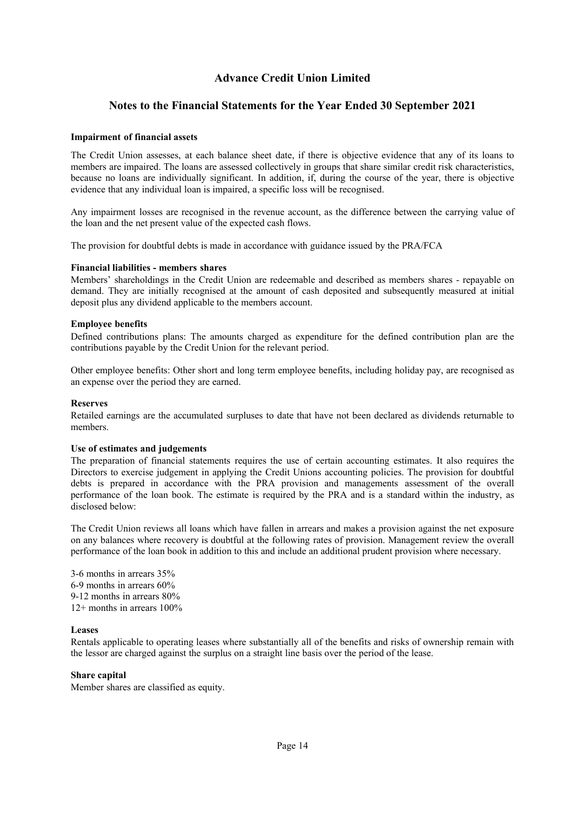### **Notes to the Financial Statements for the Year Ended 30 September 2021**

#### **Impairment of financial assets**

The Credit Union assesses, at each balance sheet date, if there is objective evidence that any of its loans to members are impaired. The loans are assessed collectively in groups that share similar credit risk characteristics, because no loans are individually significant. In addition, if, during the course of the year, there is objective evidence that any individual loan is impaired, a specific loss will be recognised.

Any impairment losses are recognised in the revenue account, as the difference between the carrying value of the loan and the net present value of the expected cash flows.

The provision for doubtful debts is made in accordance with guidance issued by the PRA/FCA

#### **Financial liabilities - members shares**

Members' shareholdings in the Credit Union are redeemable and described as members shares - repayable on demand. They are initially recognised at the amount of cash deposited and subsequently measured at initial deposit plus any dividend applicable to the members account.

#### **Employee benefits**

Defined contributions plans: The amounts charged as expenditure for the defined contribution plan are the contributions payable by the Credit Union for the relevant period.

Other employee benefits: Other short and long term employee benefits, including holiday pay, are recognised as an expense over the period they are earned.

#### **Reserves**

Retailed earnings are the accumulated surpluses to date that have not been declared as dividends returnable to members.

#### **Use of estimates and judgements**

The preparation of financial statements requires the use of certain accounting estimates. It also requires the Directors to exercise judgement in applying the Credit Unions accounting policies. The provision for doubtful debts is prepared in accordance with the PRA provision and managements assessment of the overall performance of the loan book. The estimate is required by the PRA and is a standard within the industry, as disclosed below:

The Credit Union reviews all loans which have fallen in arrears and makes a provision against the net exposure on any balances where recovery is doubtful at the following rates of provision. Management review the overall performance of the loan book in addition to this and include an additional prudent provision where necessary.

3-6 months in arrears 35% 6-9 months in arrears 60% 9-12 months in arrears 80% 12+ months in arrears 100%

#### **Leases**

Rentals applicable to operating leases where substantially all of the benefits and risks of ownership remain with the lessor are charged against the surplus on a straight line basis over the period of the lease.

#### **Share capital**

Member shares are classified as equity.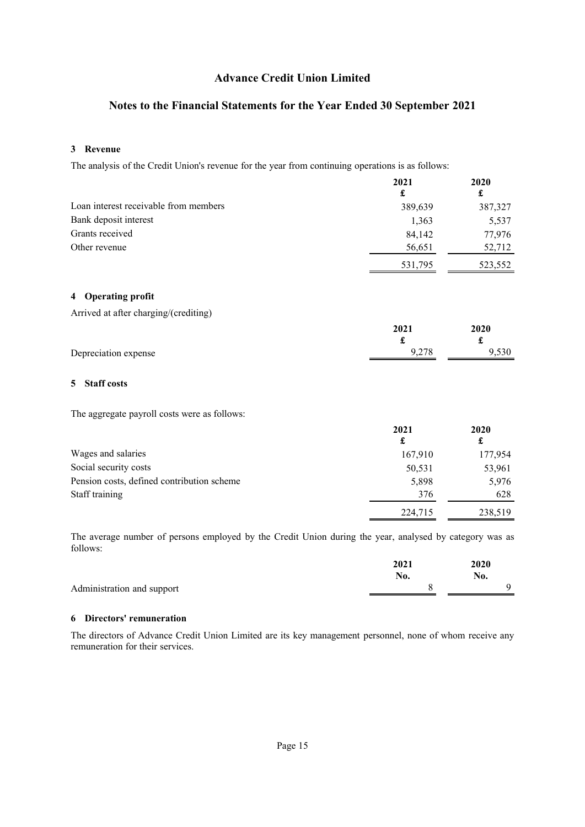## **Notes to the Financial Statements for the Year Ended 30 September 2021**

#### <span id="page-16-0"></span>**[3](#page-16-0) Revenue**

The analysis of the Credit Union's revenue for the year from continuing operations is as follows:

<span id="page-16-1"></span>

|                                              | 2021<br>£ | 2020<br>£         |
|----------------------------------------------|-----------|-------------------|
| Loan interest receivable from members        | 389,639   | 387,327           |
| Bank deposit interest                        | 1,363     | 5,537             |
| Grants received                              | 84,142    | 77,976            |
| Other revenue                                | 56,651    | 52,712            |
|                                              | 531,795   | 523,552           |
| 4 Operating profit                           |           |                   |
| Arrived at after charging/(crediting)        |           |                   |
|                                              | 2021<br>£ | 2020<br>£         |
| Depreciation expense                         | 9,278     | 9,530             |
| <b>Staff costs</b><br>5                      |           |                   |
| The aggregate payroll costs were as follows: |           |                   |
|                                              | 2021      | 2020<br>$\bullet$ |

<span id="page-16-2"></span>

| Wages and salaries                         | 167,910 | 177,954 |
|--------------------------------------------|---------|---------|
| Social security costs                      | 50,531  | 53,961  |
| Pension costs, defined contribution scheme | 5,898   | 5,976   |
| Staff training                             | 376     | 628     |
|                                            | 224,715 | 238,519 |

The average number of persons employed by the Credit Union during the year, analysed by category was as follows:

<span id="page-16-3"></span>

| 2020 |
|------|
| No.  |
|      |
|      |

#### **[6](#page-16-3) Directors' remuneration**

The directors of Advance Credit Union Limited are its key management personnel, none of whom receive any remuneration for their services.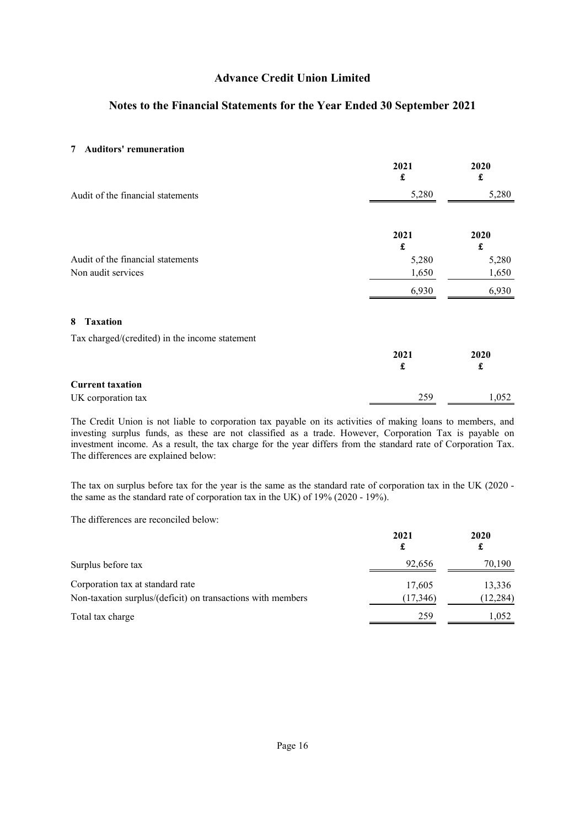## **Notes to the Financial Statements for the Year Ended 30 September 2021**

#### <span id="page-17-1"></span>**[7](#page-17-1) Auditors' remuneration**

<span id="page-17-0"></span>

|                                                | 2021<br>£ | 2020<br>£ |
|------------------------------------------------|-----------|-----------|
| Audit of the financial statements              | 5,280     | 5,280     |
|                                                | 2021<br>£ | 2020<br>£ |
| Audit of the financial statements              | 5,280     | 5,280     |
| Non audit services                             | 1,650     | 1,650     |
|                                                | 6,930     | 6,930     |
| 8 Taxation                                     |           |           |
| Tax charged/(credited) in the income statement |           |           |
|                                                | 2021<br>£ | 2020<br>£ |
| <b>Current taxation</b>                        |           |           |
| UK corporation tax                             | 259       | 1,052     |

The Credit Union is not liable to corporation tax payable on its activities of making loans to members, and investing surplus funds, as these are not classified as a trade. However, Corporation Tax is payable on investment income. As a result, the tax charge for the year differs from the standard rate of Corporation Tax. The differences are explained below:

The tax on surplus before tax for the year is the same as the standard rate of corporation tax in the UK (2020 the same as the standard rate of corporation tax in the UK) of 19% (2020 - 19%).

The differences are reconciled below:

|                                                                                                 | 2021               | 2020                |
|-------------------------------------------------------------------------------------------------|--------------------|---------------------|
| Surplus before tax                                                                              | 92,656             | 70,190              |
| Corporation tax at standard rate<br>Non-taxation surplus/(deficit) on transactions with members | 17,605<br>(17,346) | 13,336<br>(12, 284) |
| Total tax charge                                                                                | 259                | 1,052               |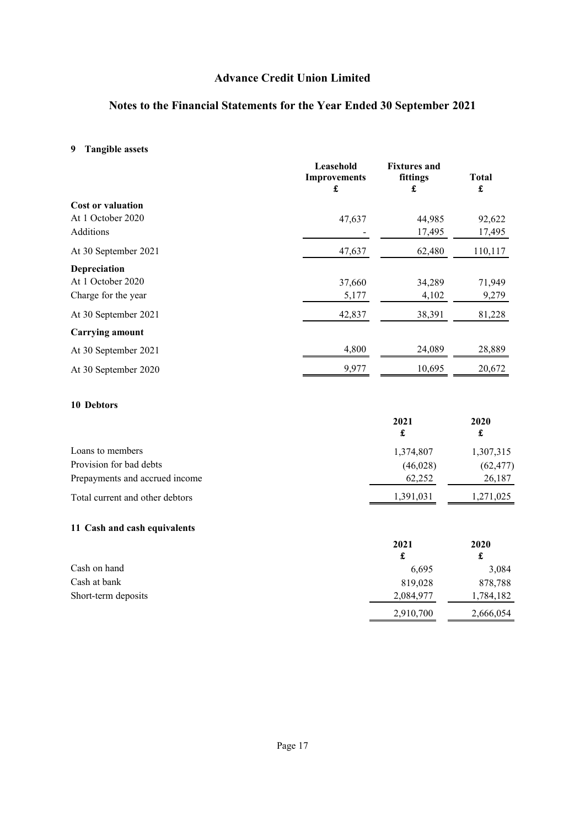## **Notes to the Financial Statements for the Year Ended 30 September 2021**

## <span id="page-18-0"></span>**[9](#page-18-0) Tangible assets**

|                          | Leasehold<br><b>Improvements</b><br>£ | <b>Fixtures and</b><br>fittings<br>£ | <b>Total</b><br>£ |
|--------------------------|---------------------------------------|--------------------------------------|-------------------|
| <b>Cost or valuation</b> |                                       |                                      |                   |
| At 1 October 2020        | 47,637                                | 44,985                               | 92,622            |
| Additions                |                                       | 17,495                               | 17,495            |
| At 30 September 2021     | 47,637                                | 62,480                               | 110,117           |
| <b>Depreciation</b>      |                                       |                                      |                   |
| At 1 October 2020        | 37,660                                | 34,289                               | 71,949            |
| Charge for the year      | 5,177                                 | 4,102                                | 9,279             |
| At 30 September 2021     | 42,837                                | 38,391                               | 81,228            |
| <b>Carrying amount</b>   |                                       |                                      |                   |
| At 30 September 2021     | 4,800                                 | 24,089                               | 28,889            |
| At 30 September 2020     | 9,977                                 | 10,695                               | 20,672            |

## <span id="page-18-1"></span>**[10](#page-18-1) Debtors**

|                                 | 2021<br>£ | 2020      |
|---------------------------------|-----------|-----------|
| Loans to members                | 1,374,807 | 1,307,315 |
| Provision for bad debts         | (46,028)  | (62, 477) |
| Prepayments and accrued income  | 62,252    | 26,187    |
| Total current and other debtors | 1,391,031 | 1,271,025 |

### <span id="page-18-2"></span>**[11](#page-18-2) Cash and cash equivalents**

|                     | 2021      | 2020      |
|---------------------|-----------|-----------|
|                     | £         | £         |
| Cash on hand        | 6,695     | 3,084     |
| Cash at bank        | 819,028   | 878,788   |
| Short-term deposits | 2,084,977 | 1,784,182 |
|                     | 2,910,700 | 2,666,054 |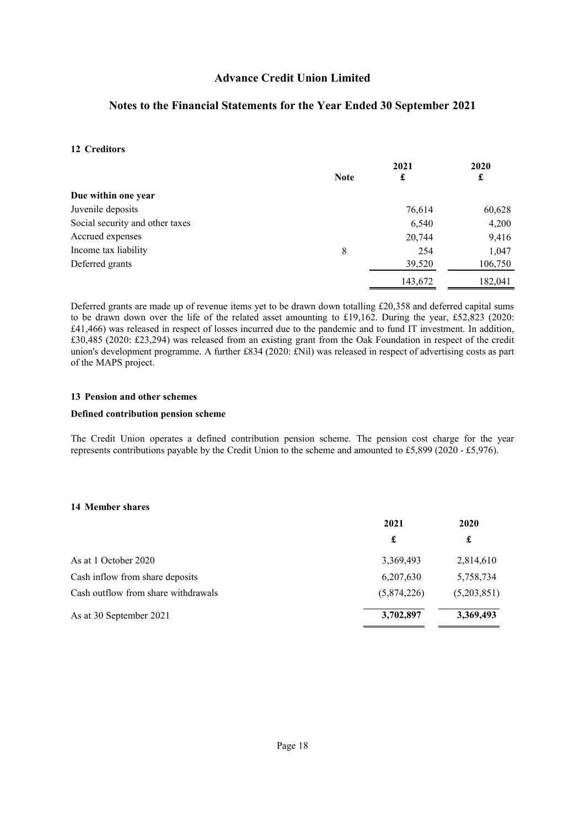## **Notes to the Financial Statements for the Year Ended 30 September 2021**

#### <span id="page-19-1"></span>**[12](#page-19-1) Creditors**

|                                 |             | 2021    | 2020<br>£ |
|---------------------------------|-------------|---------|-----------|
|                                 | <b>Note</b> | £       |           |
| Due within one year             |             |         |           |
| Juvenile deposits               |             | 76,614  | 60,628    |
| Social security and other taxes |             | 6,540   | 4,200     |
| Accrued expenses                |             | 20,744  | 9,416     |
| Income tax liability            | 8           | 254     | 1,047     |
| Deferred grants                 |             | 39,520  | 106,750   |
|                                 |             | 143,672 | 182,041   |

Deferred grants are made up of revenue items yet to be drawn down totalling £20,358 and deferred capital sums to be drawn down over the life of the related asset amounting to £19,162. During the year, £52,823 (2020: £41,466) was released in respect of losses incurred due to the pandemic and to fund IT investment. In addition, £30,485 (2020: £23,294) was released from an existing grant from the Oak Foundation in respect of the credit union's development programme. A further £834 (2020: £Nil) was released in respect of advertising costs as part of the MAPS project.

#### <span id="page-19-2"></span>**[13](#page-19-2) Pension and other schemes**

#### **Defined contribution pension scheme**

<span id="page-19-0"></span>The Credit Union operates a defined contribution pension scheme. The pension cost charge for the year represents contributions payable by the Credit Union to the scheme and amounted to £5,899 (2020 - £5,976).

#### **[14](#page-19-0) Member shares**

| 2021        | 2020<br>£   |
|-------------|-------------|
| £           |             |
| 3,369,493   | 2,814,610   |
| 6,207,630   | 5,758,734   |
| (5,874,226) | (5,203,851) |
| 3,702,897   | 3,369,493   |
|             |             |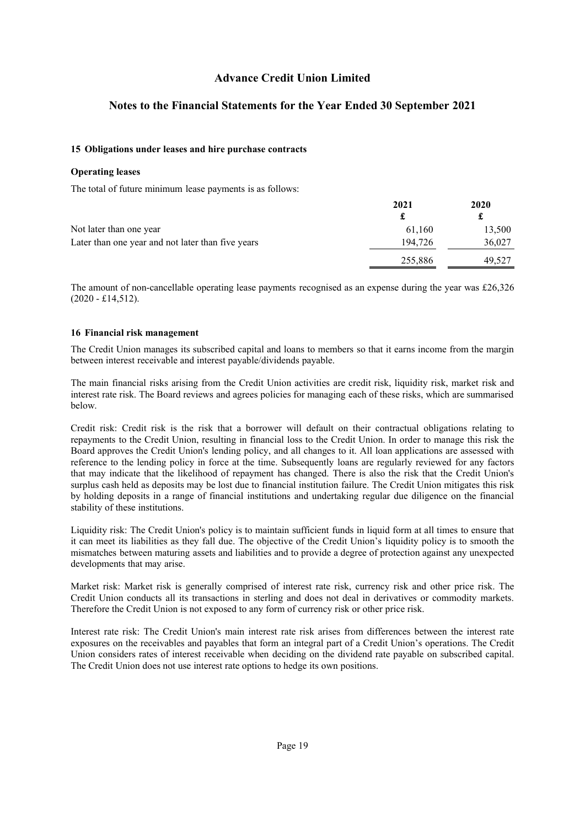## **Notes to the Financial Statements for the Year Ended 30 September 2021**

#### <span id="page-20-0"></span>**[15](#page-20-0) Obligations under leases and hire purchase contracts**

#### **Operating leases**

The total of future minimum lease payments is as follows:

|                                                   | 2021    | 2020   |
|---------------------------------------------------|---------|--------|
|                                                   |         |        |
| Not later than one year                           | 61.160  | 13,500 |
| Later than one year and not later than five years | 194.726 | 36,027 |
|                                                   | 255,886 | 49.527 |

<span id="page-20-1"></span>The amount of non-cancellable operating lease payments recognised as an expense during the year was £26,326 (2020 - £14,512).

#### **[16](#page-20-1) Financial risk management**

The Credit Union manages its subscribed capital and loans to members so that it earns income from the margin between interest receivable and interest payable/dividends payable.

The main financial risks arising from the Credit Union activities are credit risk, liquidity risk, market risk and interest rate risk. The Board reviews and agrees policies for managing each of these risks, which are summarised below.

Credit risk: Credit risk is the risk that a borrower will default on their contractual obligations relating to repayments to the Credit Union, resulting in financial loss to the Credit Union. In order to manage this risk the Board approves the Credit Union's lending policy, and all changes to it. All loan applications are assessed with reference to the lending policy in force at the time. Subsequently loans are regularly reviewed for any factors that may indicate that the likelihood of repayment has changed. There is also the risk that the Credit Union's surplus cash held as deposits may be lost due to financial institution failure. The Credit Union mitigates this risk by holding deposits in a range of financial institutions and undertaking regular due diligence on the financial stability of these institutions.

Liquidity risk: The Credit Union's policy is to maintain sufficient funds in liquid form at all times to ensure that it can meet its liabilities as they fall due. The objective of the Credit Union's liquidity policy is to smooth the mismatches between maturing assets and liabilities and to provide a degree of protection against any unexpected developments that may arise.

Market risk: Market risk is generally comprised of interest rate risk, currency risk and other price risk. The Credit Union conducts all its transactions in sterling and does not deal in derivatives or commodity markets. Therefore the Credit Union is not exposed to any form of currency risk or other price risk.

Interest rate risk: The Credit Union's main interest rate risk arises from differences between the interest rate exposures on the receivables and payables that form an integral part of a Credit Union's operations. The Credit Union considers rates of interest receivable when deciding on the dividend rate payable on subscribed capital. The Credit Union does not use interest rate options to hedge its own positions.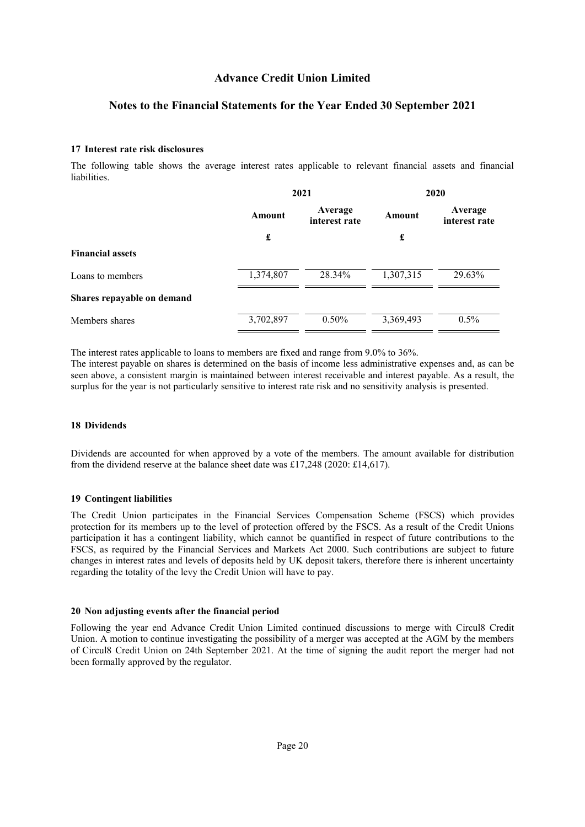### **Notes to the Financial Statements for the Year Ended 30 September 2021**

#### <span id="page-21-1"></span>**[17](#page-21-1) Interest rate risk disclosures**

The following table shows the average interest rates applicable to relevant financial assets and financial liabilities.

|                            | 2021      |                          | 2020      |                          |
|----------------------------|-----------|--------------------------|-----------|--------------------------|
|                            | Amount    | Average<br>interest rate | Amount    | Average<br>interest rate |
|                            | £         |                          | £         |                          |
| <b>Financial assets</b>    |           |                          |           |                          |
| Loans to members           | 1,374,807 | 28.34%                   | 1,307,315 | 29.63%                   |
| Shares repayable on demand |           |                          |           |                          |
| Members shares             | 3,702,897 | $0.50\%$                 | 3,369,493 | $0.5\%$                  |

The interest rates applicable to loans to members are fixed and range from 9.0% to 36%.

<span id="page-21-0"></span>The interest payable on shares is determined on the basis of income less administrative expenses and, as can be seen above, a consistent margin is maintained between interest receivable and interest payable. As a result, the surplus for the year is not particularly sensitive to interest rate risk and no sensitivity analysis is presented.

#### **[18](#page-21-0) Dividends**

<span id="page-21-2"></span>Dividends are accounted for when approved by a vote of the members. The amount available for distribution from the dividend reserve at the balance sheet date was £17,248 (2020: £14,617).

#### **[19](#page-21-2) Contingent liabilities**

The Credit Union participates in the Financial Services Compensation Scheme (FSCS) which provides protection for its members up to the level of protection offered by the FSCS. As a result of the Credit Unions participation it has a contingent liability, which cannot be quantified in respect of future contributions to the FSCS, as required by the Financial Services and Markets Act 2000. Such contributions are subject to future changes in interest rates and levels of deposits held by UK deposit takers, therefore there is inherent uncertainty regarding the totality of the levy the Credit Union will have to pay.

#### <span id="page-21-3"></span>**[20](#page-21-3) Non adjusting events after the financial period**

Following the year end Advance Credit Union Limited continued discussions to merge with Circul8 Credit Union. A motion to continue investigating the possibility of a merger was accepted at the AGM by the members of Circul8 Credit Union on 24th September 2021. At the time of signing the audit report the merger had not been formally approved by the regulator.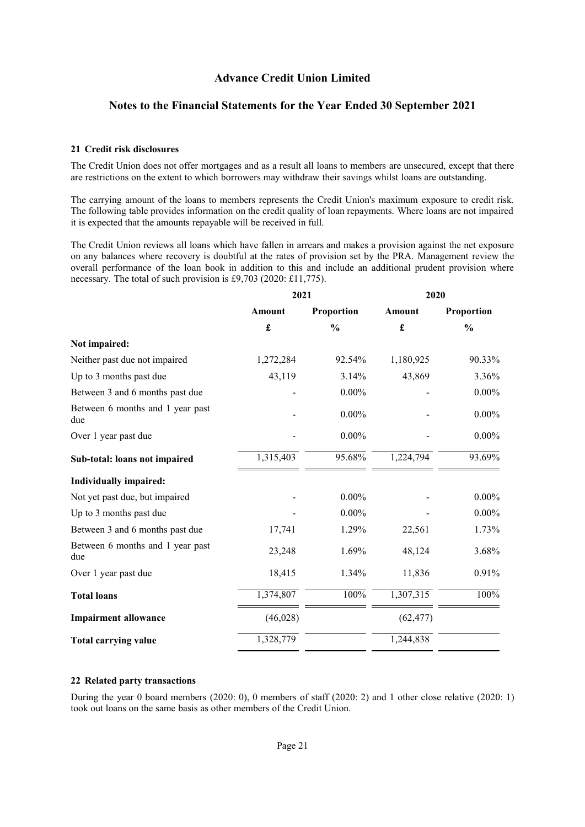### **Notes to the Financial Statements for the Year Ended 30 September 2021**

#### <span id="page-22-0"></span>**[21](#page-22-0) Credit risk disclosures**

The Credit Union does not offer mortgages and as a result all loans to members are unsecured, except that there are restrictions on the extent to which borrowers may withdraw their savings whilst loans are outstanding.

The carrying amount of the loans to members represents the Credit Union's maximum exposure to credit risk. The following table provides information on the credit quality of loan repayments. Where loans are not impaired it is expected that the amounts repayable will be received in full.

The Credit Union reviews all loans which have fallen in arrears and makes a provision against the net exposure on any balances where recovery is doubtful at the rates of provision set by the PRA. Management review the overall performance of the loan book in addition to this and include an additional prudent provision where necessary. The total of such provision is £9,703 (2020: £11,775).

|                                         | 2021          |               | 2020          |               |
|-----------------------------------------|---------------|---------------|---------------|---------------|
|                                         | <b>Amount</b> | Proportion    | <b>Amount</b> | Proportion    |
|                                         | £             | $\frac{0}{0}$ | £             | $\frac{0}{0}$ |
| Not impaired:                           |               |               |               |               |
| Neither past due not impaired           | 1,272,284     | 92.54%        | 1,180,925     | 90.33%        |
| Up to 3 months past due                 | 43,119        | 3.14%         | 43,869        | 3.36%         |
| Between 3 and 6 months past due         |               | $0.00\%$      |               | $0.00\%$      |
| Between 6 months and 1 year past<br>due |               | $0.00\%$      |               | $0.00\%$      |
| Over 1 year past due                    |               | $0.00\%$      |               | $0.00\%$      |
| Sub-total: loans not impaired           | 1,315,403     | 95.68%        | 1,224,794     | 93.69%        |
| Individually impaired:                  |               |               |               |               |
| Not yet past due, but impaired          |               | $0.00\%$      |               | $0.00\%$      |
| Up to 3 months past due                 |               | $0.00\%$      |               | $0.00\%$      |
| Between 3 and 6 months past due         | 17,741        | 1.29%         | 22,561        | 1.73%         |
| Between 6 months and 1 year past<br>due | 23,248        | 1.69%         | 48,124        | 3.68%         |
| Over 1 year past due                    | 18,415        | 1.34%         | 11,836        | 0.91%         |
| <b>Total loans</b>                      | 1,374,807     | 100%          | 1,307,315     | 100%          |
| <b>Impairment allowance</b>             | (46, 028)     |               | (62, 477)     |               |
| <b>Total carrying value</b>             | 1,328,779     |               | 1,244,838     |               |

#### <span id="page-22-1"></span>**[22](#page-22-1) Related party transactions**

During the year 0 board members (2020: 0), 0 members of staff (2020: 2) and 1 other close relative (2020: 1) took out loans on the same basis as other members of the Credit Union.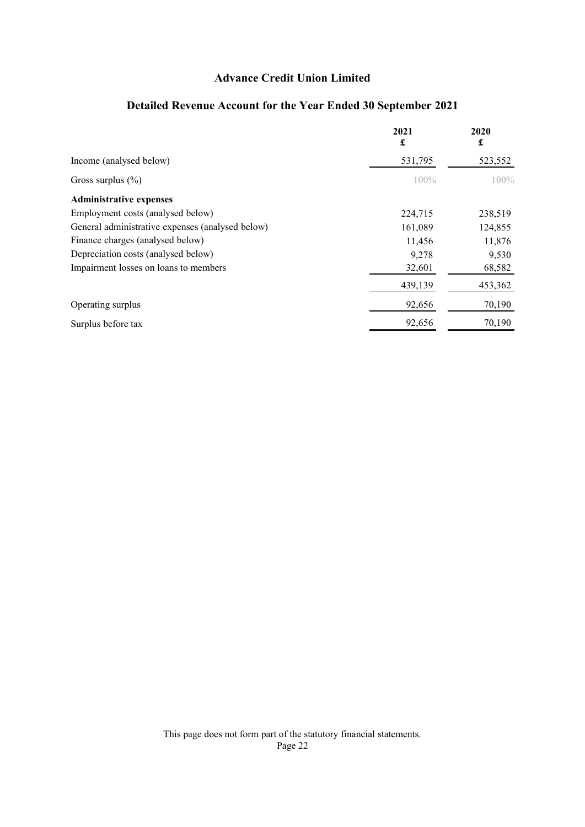## **Detailed Revenue Account for the Year Ended 30 September 2021**

|                                                  | 2021<br>£ | 2020<br>£ |
|--------------------------------------------------|-----------|-----------|
| Income (analysed below)                          | 531,795   | 523,552   |
| Gross surplus $(\% )$                            | 100%      | 100%      |
| <b>Administrative expenses</b>                   |           |           |
| Employment costs (analysed below)                | 224,715   | 238,519   |
| General administrative expenses (analysed below) | 161,089   | 124,855   |
| Finance charges (analysed below)                 | 11,456    | 11,876    |
| Depreciation costs (analysed below)              | 9,278     | 9,530     |
| Impairment losses on loans to members            | 32,601    | 68,582    |
|                                                  | 439,139   | 453,362   |
| Operating surplus                                | 92,656    | 70,190    |
| Surplus before tax                               | 92,656    | 70,190    |